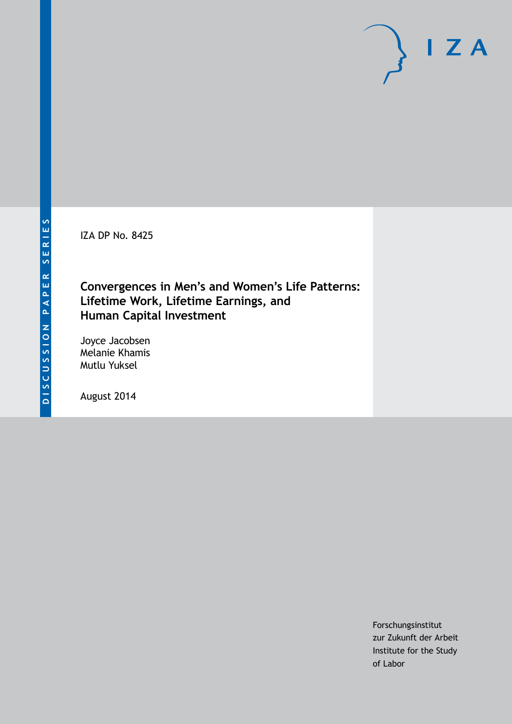IZA DP No. 8425

## **Convergences in Men's and Women's Life Patterns: Lifetime Work, Lifetime Earnings, and Human Capital Investment**

Joyce Jacobsen Melanie Khamis Mutlu Yuksel

August 2014

Forschungsinstitut zur Zukunft der Arbeit Institute for the Study of Labor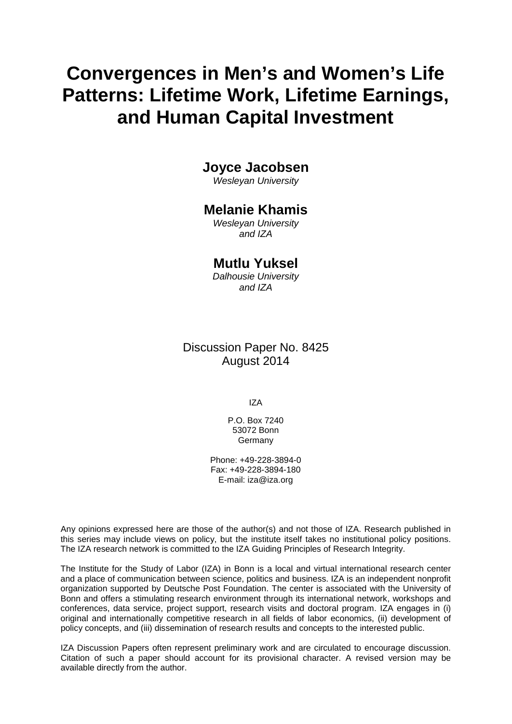# **Convergences in Men's and Women's Life Patterns: Lifetime Work, Lifetime Earnings, and Human Capital Investment**

## **Joyce Jacobsen**

*Wesleyan University*

## **Melanie Khamis**

*Wesleyan University and IZA*

## **Mutlu Yuksel**

*Dalhousie University and IZA*

## Discussion Paper No. 8425 August 2014

IZA

P.O. Box 7240 53072 Bonn **Germany** 

Phone: +49-228-3894-0 Fax: +49-228-3894-180 E-mail: [iza@iza.org](mailto:iza@iza.org)

Any opinions expressed here are those of the author(s) and not those of IZA. Research published in this series may include views on policy, but the institute itself takes no institutional policy positions. The IZA research network is committed to the IZA Guiding Principles of Research Integrity.

The Institute for the Study of Labor (IZA) in Bonn is a local and virtual international research center and a place of communication between science, politics and business. IZA is an independent nonprofit organization supported by Deutsche Post Foundation. The center is associated with the University of Bonn and offers a stimulating research environment through its international network, workshops and conferences, data service, project support, research visits and doctoral program. IZA engages in (i) original and internationally competitive research in all fields of labor economics, (ii) development of policy concepts, and (iii) dissemination of research results and concepts to the interested public.

<span id="page-1-0"></span>IZA Discussion Papers often represent preliminary work and are circulated to encourage discussion. Citation of such a paper should account for its provisional character. A revised version may be available directly from the author.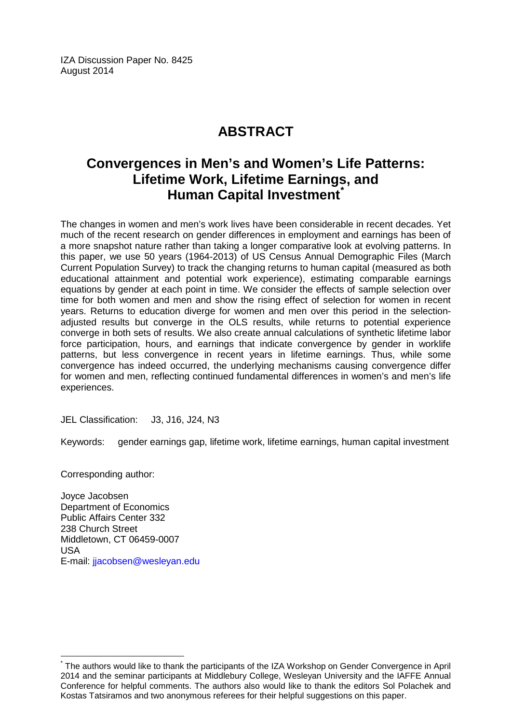IZA Discussion Paper No. 8425 August 2014

## **ABSTRACT**

## **Convergences in Men's and Women's Life Patterns: Lifetime Work, Lifetime Earnings, and Human Capital Investment[\\*](#page-1-0)**

The changes in women and men's work lives have been considerable in recent decades. Yet much of the recent research on gender differences in employment and earnings has been of a more snapshot nature rather than taking a longer comparative look at evolving patterns. In this paper, we use 50 years (1964-2013) of US Census Annual Demographic Files (March Current Population Survey) to track the changing returns to human capital (measured as both educational attainment and potential work experience), estimating comparable earnings equations by gender at each point in time. We consider the effects of sample selection over time for both women and men and show the rising effect of selection for women in recent years. Returns to education diverge for women and men over this period in the selectionadjusted results but converge in the OLS results, while returns to potential experience converge in both sets of results. We also create annual calculations of synthetic lifetime labor force participation, hours, and earnings that indicate convergence by gender in worklife patterns, but less convergence in recent years in lifetime earnings. Thus, while some convergence has indeed occurred, the underlying mechanisms causing convergence differ for women and men, reflecting continued fundamental differences in women's and men's life experiences.

JEL Classification: J3, J16, J24, N3

Keywords: gender earnings gap, lifetime work, lifetime earnings, human capital investment

Corresponding author:

Joyce Jacobsen Department of Economics Public Affairs Center 332 238 Church Street Middletown, CT 06459-0007 USA E-mail: [jjacobsen@wesleyan.edu](mailto:jjacobsen@wesleyan.edu)

The authors would like to thank the participants of the IZA Workshop on Gender Convergence in April 2014 and the seminar participants at Middlebury College, Wesleyan University and the IAFFE Annual Conference for helpful comments. The authors also would like to thank the editors Sol Polachek and Kostas Tatsiramos and two anonymous referees for their helpful suggestions on this paper.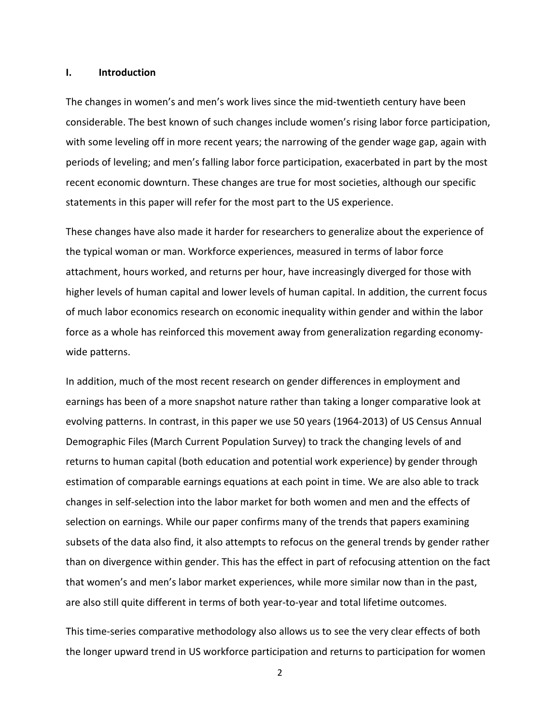#### **I. Introduction**

The changes in women's and men's work lives since the mid-twentieth century have been considerable. The best known of such changes include women's rising labor force participation, with some leveling off in more recent years; the narrowing of the gender wage gap, again with periods of leveling; and men's falling labor force participation, exacerbated in part by the most recent economic downturn. These changes are true for most societies, although our specific statements in this paper will refer for the most part to the US experience.

These changes have also made it harder for researchers to generalize about the experience of the typical woman or man. Workforce experiences, measured in terms of labor force attachment, hours worked, and returns per hour, have increasingly diverged for those with higher levels of human capital and lower levels of human capital. In addition, the current focus of much labor economics research on economic inequality within gender and within the labor force as a whole has reinforced this movement away from generalization regarding economywide patterns.

In addition, much of the most recent research on gender differences in employment and earnings has been of a more snapshot nature rather than taking a longer comparative look at evolving patterns. In contrast, in this paper we use 50 years (1964-2013) of US Census Annual Demographic Files (March Current Population Survey) to track the changing levels of and returns to human capital (both education and potential work experience) by gender through estimation of comparable earnings equations at each point in time. We are also able to track changes in self-selection into the labor market for both women and men and the effects of selection on earnings. While our paper confirms many of the trends that papers examining subsets of the data also find, it also attempts to refocus on the general trends by gender rather than on divergence within gender. This has the effect in part of refocusing attention on the fact that women's and men's labor market experiences, while more similar now than in the past, are also still quite different in terms of both year-to-year and total lifetime outcomes.

This time-series comparative methodology also allows us to see the very clear effects of both the longer upward trend in US workforce participation and returns to participation for women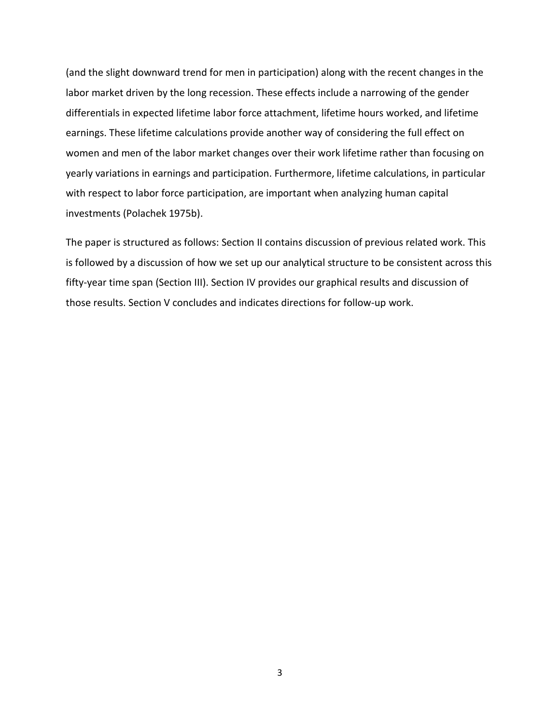(and the slight downward trend for men in participation) along with the recent changes in the labor market driven by the long recession. These effects include a narrowing of the gender differentials in expected lifetime labor force attachment, lifetime hours worked, and lifetime earnings. These lifetime calculations provide another way of considering the full effect on women and men of the labor market changes over their work lifetime rather than focusing on yearly variations in earnings and participation. Furthermore, lifetime calculations, in particular with respect to labor force participation, are important when analyzing human capital investments (Polachek 1975b).

The paper is structured as follows: Section II contains discussion of previous related work. This is followed by a discussion of how we set up our analytical structure to be consistent across this fifty-year time span (Section III). Section IV provides our graphical results and discussion of those results. Section V concludes and indicates directions for follow-up work.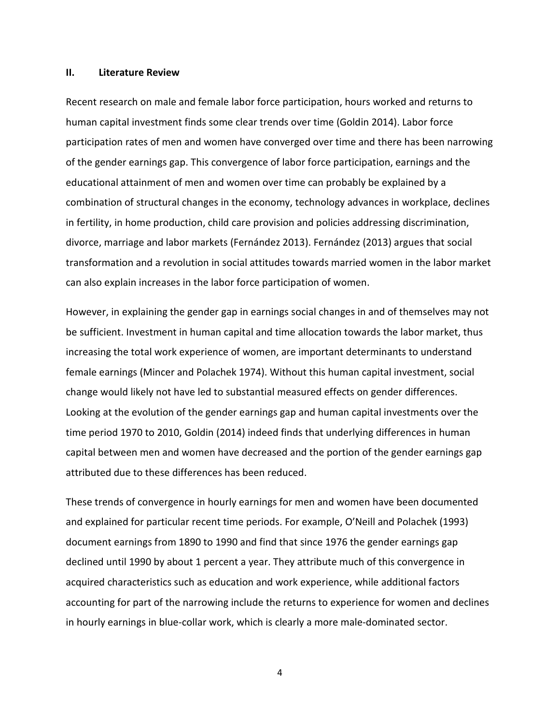#### **II. Literature Review**

Recent research on male and female labor force participation, hours worked and returns to human capital investment finds some clear trends over time (Goldin 2014). Labor force participation rates of men and women have converged over time and there has been narrowing of the gender earnings gap. This convergence of labor force participation, earnings and the educational attainment of men and women over time can probably be explained by a combination of structural changes in the economy, technology advances in workplace, declines in fertility, in home production, child care provision and policies addressing discrimination, divorce, marriage and labor markets (Fernández 2013). Fernández (2013) argues that social transformation and a revolution in social attitudes towards married women in the labor market can also explain increases in the labor force participation of women.

However, in explaining the gender gap in earnings social changes in and of themselves may not be sufficient. Investment in human capital and time allocation towards the labor market, thus increasing the total work experience of women, are important determinants to understand female earnings (Mincer and Polachek 1974). Without this human capital investment, social change would likely not have led to substantial measured effects on gender differences. Looking at the evolution of the gender earnings gap and human capital investments over the time period 1970 to 2010, Goldin (2014) indeed finds that underlying differences in human capital between men and women have decreased and the portion of the gender earnings gap attributed due to these differences has been reduced.

These trends of convergence in hourly earnings for men and women have been documented and explained for particular recent time periods. For example, O'Neill and Polachek (1993) document earnings from 1890 to 1990 and find that since 1976 the gender earnings gap declined until 1990 by about 1 percent a year. They attribute much of this convergence in acquired characteristics such as education and work experience, while additional factors accounting for part of the narrowing include the returns to experience for women and declines in hourly earnings in blue-collar work, which is clearly a more male-dominated sector.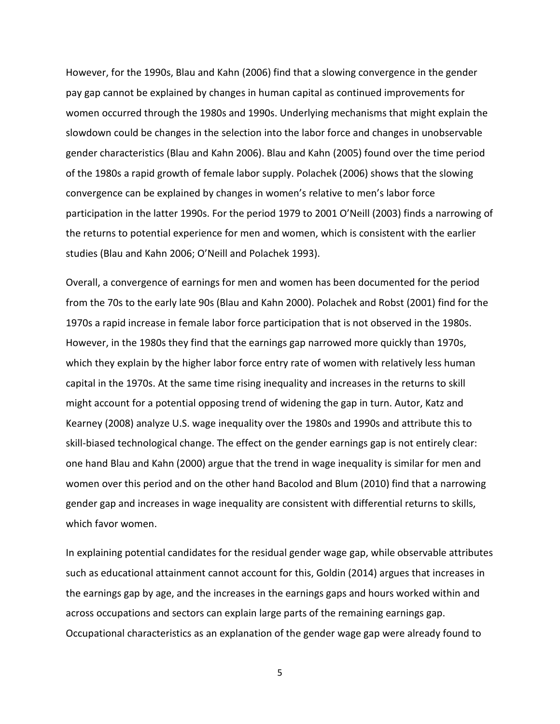However, for the 1990s, Blau and Kahn (2006) find that a slowing convergence in the gender pay gap cannot be explained by changes in human capital as continued improvements for women occurred through the 1980s and 1990s. Underlying mechanisms that might explain the slowdown could be changes in the selection into the labor force and changes in unobservable gender characteristics (Blau and Kahn 2006). Blau and Kahn (2005) found over the time period of the 1980s a rapid growth of female labor supply. Polachek (2006) shows that the slowing convergence can be explained by changes in women's relative to men's labor force participation in the latter 1990s. For the period 1979 to 2001 O'Neill (2003) finds a narrowing of the returns to potential experience for men and women, which is consistent with the earlier studies (Blau and Kahn 2006; O'Neill and Polachek 1993).

Overall, a convergence of earnings for men and women has been documented for the period from the 70s to the early late 90s (Blau and Kahn 2000). Polachek and Robst (2001) find for the 1970s a rapid increase in female labor force participation that is not observed in the 1980s. However, in the 1980s they find that the earnings gap narrowed more quickly than 1970s, which they explain by the higher labor force entry rate of women with relatively less human capital in the 1970s. At the same time rising inequality and increases in the returns to skill might account for a potential opposing trend of widening the gap in turn. Autor, Katz and Kearney (2008) analyze U.S. wage inequality over the 1980s and 1990s and attribute this to skill-biased technological change. The effect on the gender earnings gap is not entirely clear: one hand Blau and Kahn (2000) argue that the trend in wage inequality is similar for men and women over this period and on the other hand Bacolod and Blum (2010) find that a narrowing gender gap and increases in wage inequality are consistent with differential returns to skills, which favor women.

In explaining potential candidates for the residual gender wage gap, while observable attributes such as educational attainment cannot account for this, Goldin (2014) argues that increases in the earnings gap by age, and the increases in the earnings gaps and hours worked within and across occupations and sectors can explain large parts of the remaining earnings gap. Occupational characteristics as an explanation of the gender wage gap were already found to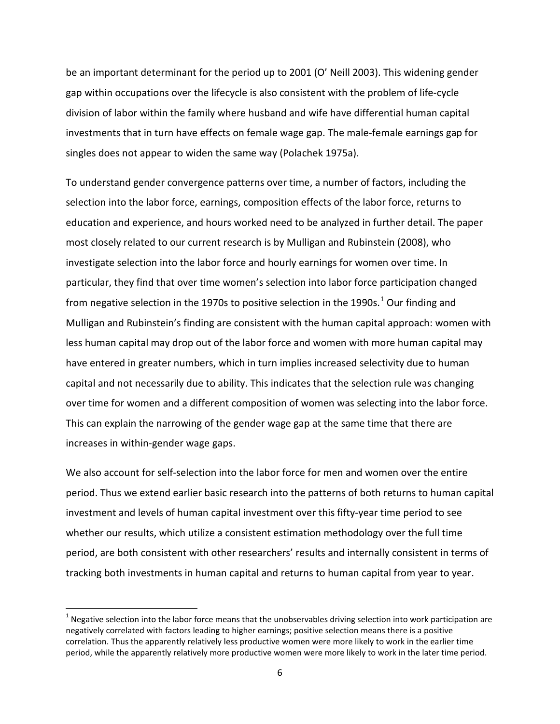be an important determinant for the period up to 2001 (O' Neill 2003). This widening gender gap within occupations over the lifecycle is also consistent with the problem of life-cycle division of labor within the family where husband and wife have differential human capital investments that in turn have effects on female wage gap. The male-female earnings gap for singles does not appear to widen the same way (Polachek 1975a).

To understand gender convergence patterns over time, a number of factors, including the selection into the labor force, earnings, composition effects of the labor force, returns to education and experience, and hours worked need to be analyzed in further detail. The paper most closely related to our current research is by Mulligan and Rubinstein (2008), who investigate selection into the labor force and hourly earnings for women over time. In particular, they find that over time women's selection into labor force participation changed from negative selection in the [1](#page-7-0)970s to positive selection in the 1990s. $^1$  Our finding and Mulligan and Rubinstein's finding are consistent with the human capital approach: women with less human capital may drop out of the labor force and women with more human capital may have entered in greater numbers, which in turn implies increased selectivity due to human capital and not necessarily due to ability. This indicates that the selection rule was changing over time for women and a different composition of women was selecting into the labor force. This can explain the narrowing of the gender wage gap at the same time that there are increases in within-gender wage gaps.

We also account for self-selection into the labor force for men and women over the entire period. Thus we extend earlier basic research into the patterns of both returns to human capital investment and levels of human capital investment over this fifty-year time period to see whether our results, which utilize a consistent estimation methodology over the full time period, are both consistent with other researchers' results and internally consistent in terms of tracking both investments in human capital and returns to human capital from year to year.

 $\overline{\phantom{a}}$ 

<span id="page-7-0"></span> $1$  Negative selection into the labor force means that the unobservables driving selection into work participation are negatively correlated with factors leading to higher earnings; positive selection means there is a positive correlation. Thus the apparently relatively less productive women were more likely to work in the earlier time period, while the apparently relatively more productive women were more likely to work in the later time period.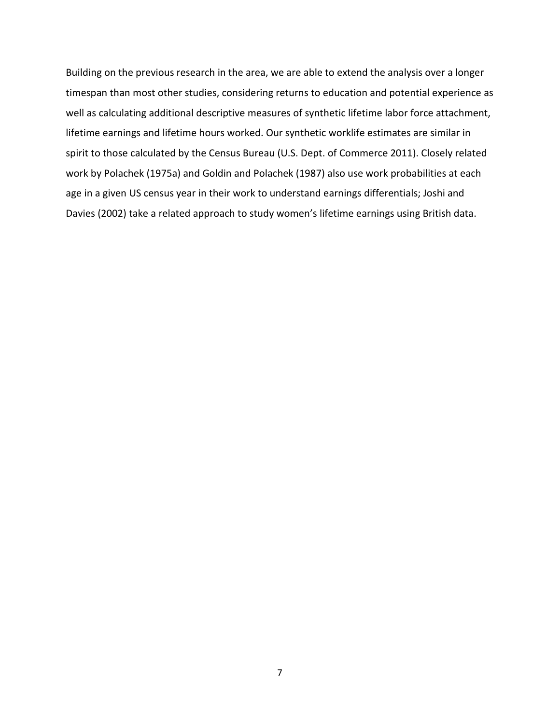Building on the previous research in the area, we are able to extend the analysis over a longer timespan than most other studies, considering returns to education and potential experience as well as calculating additional descriptive measures of synthetic lifetime labor force attachment, lifetime earnings and lifetime hours worked. Our synthetic worklife estimates are similar in spirit to those calculated by the Census Bureau (U.S. Dept. of Commerce 2011). Closely related work by Polachek (1975a) and Goldin and Polachek (1987) also use work probabilities at each age in a given US census year in their work to understand earnings differentials; Joshi and Davies (2002) take a related approach to study women's lifetime earnings using British data.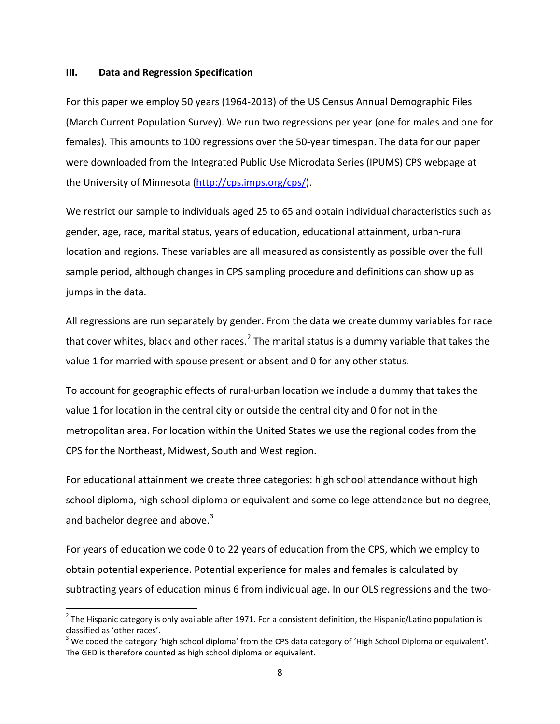#### **III. Data and Regression Specification**

 $\overline{\phantom{a}}$ 

For this paper we employ 50 years (1964-2013) of the US Census Annual Demographic Files (March Current Population Survey). We run two regressions per year (one for males and one for females). This amounts to 100 regressions over the 50-year timespan. The data for our paper were downloaded from the Integrated Public Use Microdata Series (IPUMS) CPS webpage at the University of Minnesota [\(http://cps.imps.org/cps/\)](http://cps.imps.org/cps/).

We restrict our sample to individuals aged 25 to 65 and obtain individual characteristics such as gender, age, race, marital status, years of education, educational attainment, urban-rural location and regions. These variables are all measured as consistently as possible over the full sample period, although changes in CPS sampling procedure and definitions can show up as jumps in the data.

All regressions are run separately by gender. From the data we create dummy variables for race that cover whites, black and other races.<sup>[2](#page-9-0)</sup> The marital status is a dummy variable that takes the value 1 for married with spouse present or absent and 0 for any other status.

To account for geographic effects of rural-urban location we include a dummy that takes the value 1 for location in the central city or outside the central city and 0 for not in the metropolitan area. For location within the United States we use the regional codes from the CPS for the Northeast, Midwest, South and West region.

For educational attainment we create three categories: high school attendance without high school diploma, high school diploma or equivalent and some college attendance but no degree, and bachelor degree and above.<sup>[3](#page-9-1)</sup>

For years of education we code 0 to 22 years of education from the CPS, which we employ to obtain potential experience. Potential experience for males and females is calculated by subtracting years of education minus 6 from individual age. In our OLS regressions and the two-

<span id="page-9-0"></span> $2$  The Hispanic category is only available after 1971. For a consistent definition, the Hispanic/Latino population is classified as 'other races'.

<span id="page-9-1"></span> $3$  We coded the category 'high school diploma' from the CPS data category of 'High School Diploma or equivalent'. The GED is therefore counted as high school diploma or equivalent.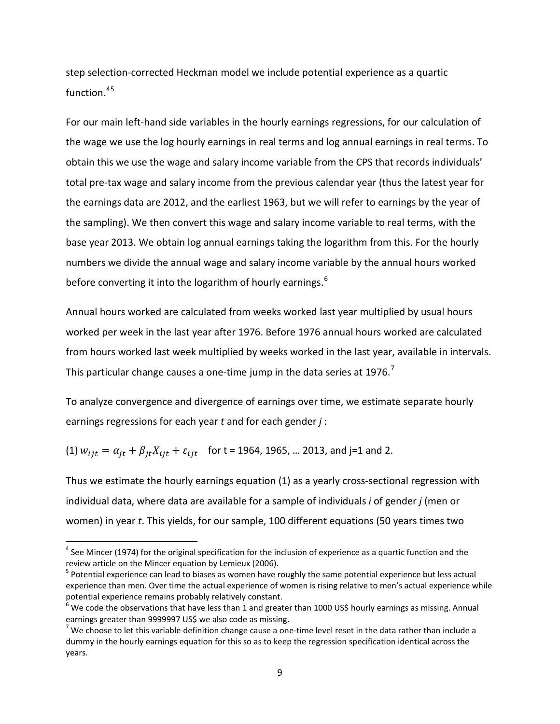step selection-corrected Heckman model we include potential experience as a quartic function. [4](#page-10-0)[5](#page-10-1)

For our main left-hand side variables in the hourly earnings regressions, for our calculation of the wage we use the log hourly earnings in real terms and log annual earnings in real terms. To obtain this we use the wage and salary income variable from the CPS that records individuals' total pre-tax wage and salary income from the previous calendar year (thus the latest year for the earnings data are 2012, and the earliest 1963, but we will refer to earnings by the year of the sampling). We then convert this wage and salary income variable to real terms, with the base year 2013. We obtain log annual earnings taking the logarithm from this. For the hourly numbers we divide the annual wage and salary income variable by the annual hours worked before converting it into the logarithm of hourly earnings. $6$ 

Annual hours worked are calculated from weeks worked last year multiplied by usual hours worked per week in the last year after 1976. Before 1976 annual hours worked are calculated from hours worked last week multiplied by weeks worked in the last year, available in intervals. This particular change causes a one-time jump in the data series at  $1976$  $1976$  $1976$ .<sup>7</sup>

To analyze convergence and divergence of earnings over time, we estimate separate hourly earnings regressions for each year *t* and for each gender *j* :

(1)  $w_{ijt} = \alpha_{jt} + \beta_{jt} X_{ijt} + \varepsilon_{ijt}$  for t = 1964, 1965, ... 2013, and j=1 and 2.

l

Thus we estimate the hourly earnings equation (1) as a yearly cross-sectional regression with individual data, where data are available for a sample of individuals *i* of gender *j* (men or women) in year *t*. This yields, for our sample, 100 different equations (50 years times two

<span id="page-10-0"></span> $4$  See Mincer (1974) for the original specification for the inclusion of experience as a quartic function and the review article on the Mincer equation by Lemieux (2006).

<span id="page-10-1"></span><sup>&</sup>lt;sup>5</sup> Potential experience can lead to biases as women have roughly the same potential experience but less actual experience than men. Over time the actual experience of women is rising relative to men's actual experience while potential experience remains probably relatively constant.

<span id="page-10-2"></span> $^6$  We code the observations that have less than 1 and greater than 1000 US\$ hourly earnings as missing. Annual earnings greater than 9999997 US\$ we also code as missing.<br><sup>7</sup> We choose to let this variable definition change cause a one-time level reset in the data rather than include a

<span id="page-10-3"></span>dummy in the hourly earnings equation for this so as to keep the regression specification identical across the years.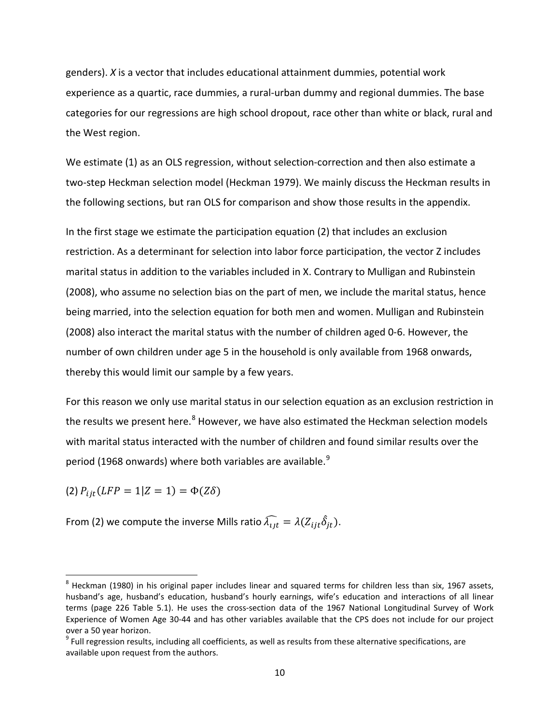genders). *X* is a vector that includes educational attainment dummies, potential work experience as a quartic, race dummies, a rural-urban dummy and regional dummies. The base categories for our regressions are high school dropout, race other than white or black, rural and the West region.

We estimate (1) as an OLS regression, without selection-correction and then also estimate a two-step Heckman selection model (Heckman 1979). We mainly discuss the Heckman results in the following sections, but ran OLS for comparison and show those results in the appendix.

In the first stage we estimate the participation equation (2) that includes an exclusion restriction. As a determinant for selection into labor force participation, the vector Z includes marital status in addition to the variables included in X. Contrary to Mulligan and Rubinstein (2008), who assume no selection bias on the part of men, we include the marital status, hence being married, into the selection equation for both men and women. Mulligan and Rubinstein (2008) also interact the marital status with the number of children aged 0-6. However, the number of own children under age 5 in the household is only available from 1968 onwards, thereby this would limit our sample by a few years.

For this reason we only use marital status in our selection equation as an exclusion restriction in the results we present here.<sup>[8](#page-11-0)</sup> However, we have also estimated the Heckman selection models with marital status interacted with the number of children and found similar results over the period (1[9](#page-11-1)68 onwards) where both variables are available.<sup>9</sup>

(2)  $P_{ijt}(LFP = 1 | Z = 1) = \Phi(Z\delta)$ 

 $\overline{\phantom{a}}$ 

From (2) we compute the inverse Mills ratio  $\widehat{\lambda_{ijt}} = \lambda (Z_{ijt} \widehat{\delta}_{jt}).$ 

<span id="page-11-0"></span><sup>&</sup>lt;sup>8</sup> Heckman (1980) in his original paper includes linear and squared terms for children less than six, 1967 assets, husband's age, husband's education, husband's hourly earnings, wife's education and interactions of all linear terms (page 226 Table 5.1). He uses the cross-section data of the 1967 National Longitudinal Survey of Work Experience of Women Age 30-44 and has other variables available that the CPS does not include for our project over a 50 year horizon.

<span id="page-11-1"></span> $9$  Full regression results, including all coefficients, as well as results from these alternative specifications, are available upon request from the authors.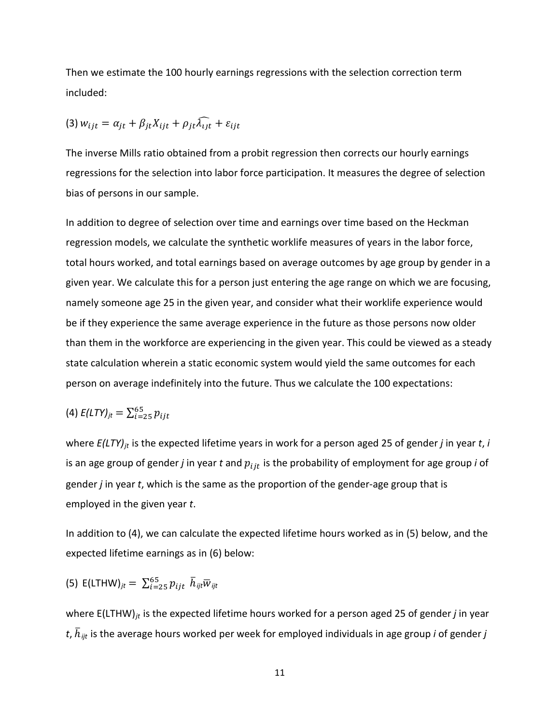Then we estimate the 100 hourly earnings regressions with the selection correction term included:

$$
(3) w_{ijt} = \alpha_{jt} + \beta_{jt} X_{ijt} + \rho_{jt} \widehat{\lambda_{ijt}} + \varepsilon_{ijt}
$$

The inverse Mills ratio obtained from a probit regression then corrects our hourly earnings regressions for the selection into labor force participation. It measures the degree of selection bias of persons in our sample.

In addition to degree of selection over time and earnings over time based on the Heckman regression models, we calculate the synthetic worklife measures of years in the labor force, total hours worked, and total earnings based on average outcomes by age group by gender in a given year. We calculate this for a person just entering the age range on which we are focusing, namely someone age 25 in the given year, and consider what their worklife experience would be if they experience the same average experience in the future as those persons now older than them in the workforce are experiencing in the given year. This could be viewed as a steady state calculation wherein a static economic system would yield the same outcomes for each person on average indefinitely into the future. Thus we calculate the 100 expectations:

(4) 
$$
E(LTY)_{jt} = \sum_{i=25}^{65} p_{ijt}
$$

where  $E(LTY)_{it}$  is the expected lifetime years in work for a person aged 25 of gender *j* in year *t*, *i* is an age group of gender  $j$  in year  $t$  and  $p_{ijt}$  is the probability of employment for age group  $i$  of gender *j* in year *t*, which is the same as the proportion of the gender-age group that is employed in the given year *t*.

In addition to (4), we can calculate the expected lifetime hours worked as in (5) below, and the expected lifetime earnings as in (6) below:

(5) 
$$
E(LTHW)_{jt} = \sum_{i=25}^{65} p_{ijt} \ \bar{h}_{ijt} \bar{w}_{ijt}
$$

where E(LTHW)<sub>*it*</sub> is the expected lifetime hours worked for a person aged 25 of gender *j* in year *t*, ℎ� <sup>R</sup> *ijt* is the average hours worked per week for employed individuals in age group *i* of gender *j*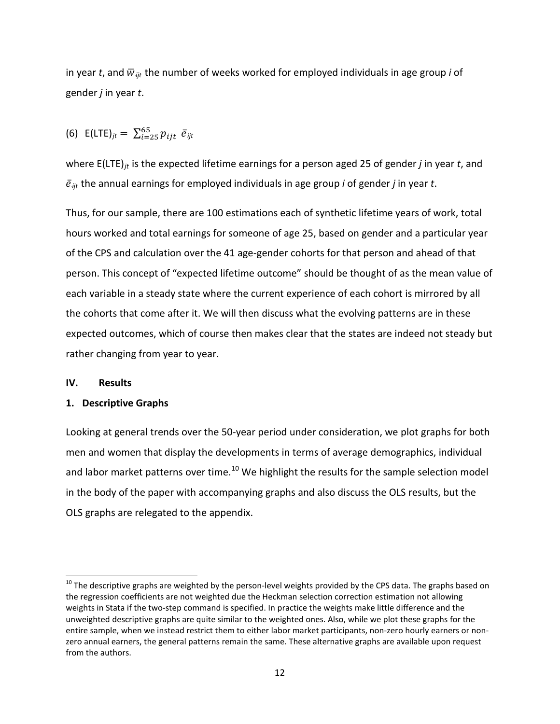in year *t*, and  $\overline{w}_{ijt}$  the number of weeks worked for employed individuals in age group *i* of gender *j* in year *t*.

(6) 
$$
E(\text{LTE})_{jt} = \sum_{i=25}^{65} p_{ijt} \ \bar{e}_{ijt}
$$

where E(LTE)*jt* is the expected lifetime earnings for a person aged 25 of gender *j* in year *t*, and  $\bar{e}_{ijt}$  the annual earnings for employed individuals in age group *i* of gender *j* in year *t*.

Thus, for our sample, there are 100 estimations each of synthetic lifetime years of work, total hours worked and total earnings for someone of age 25, based on gender and a particular year of the CPS and calculation over the 41 age-gender cohorts for that person and ahead of that person. This concept of "expected lifetime outcome" should be thought of as the mean value of each variable in a steady state where the current experience of each cohort is mirrored by all the cohorts that come after it. We will then discuss what the evolving patterns are in these expected outcomes, which of course then makes clear that the states are indeed not steady but rather changing from year to year.

#### **IV. Results**

 $\overline{\phantom{a}}$ 

#### **1. Descriptive Graphs**

Looking at general trends over the 50-year period under consideration, we plot graphs for both men and women that display the developments in terms of average demographics, individual and labor market patterns over time.<sup>[10](#page-13-0)</sup> We highlight the results for the sample selection model in the body of the paper with accompanying graphs and also discuss the OLS results, but the OLS graphs are relegated to the appendix.

<span id="page-13-0"></span> $10$  The descriptive graphs are weighted by the person-level weights provided by the CPS data. The graphs based on the regression coefficients are not weighted due the Heckman selection correction estimation not allowing weights in Stata if the two-step command is specified. In practice the weights make little difference and the unweighted descriptive graphs are quite similar to the weighted ones. Also, while we plot these graphs for the entire sample, when we instead restrict them to either labor market participants, non-zero hourly earners or nonzero annual earners, the general patterns remain the same. These alternative graphs are available upon request from the authors.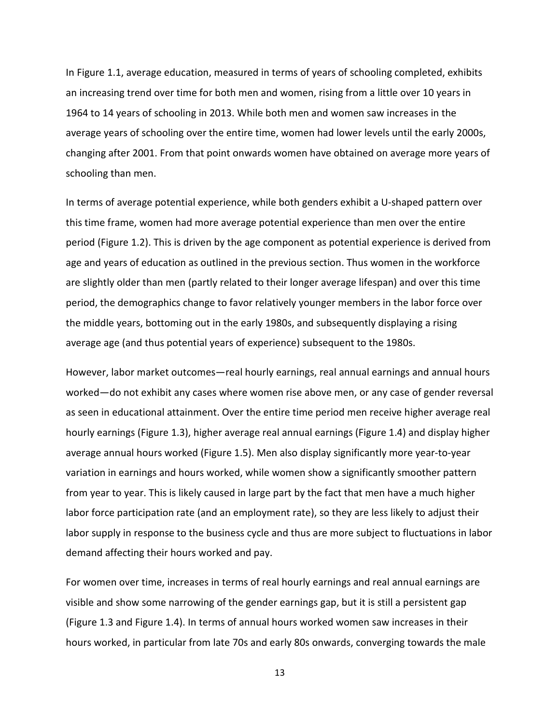In Figure 1.1, average education, measured in terms of years of schooling completed, exhibits an increasing trend over time for both men and women, rising from a little over 10 years in 1964 to 14 years of schooling in 2013. While both men and women saw increases in the average years of schooling over the entire time, women had lower levels until the early 2000s, changing after 2001. From that point onwards women have obtained on average more years of schooling than men.

In terms of average potential experience, while both genders exhibit a U-shaped pattern over this time frame, women had more average potential experience than men over the entire period (Figure 1.2). This is driven by the age component as potential experience is derived from age and years of education as outlined in the previous section. Thus women in the workforce are slightly older than men (partly related to their longer average lifespan) and over this time period, the demographics change to favor relatively younger members in the labor force over the middle years, bottoming out in the early 1980s, and subsequently displaying a rising average age (and thus potential years of experience) subsequent to the 1980s.

However, labor market outcomes—real hourly earnings, real annual earnings and annual hours worked—do not exhibit any cases where women rise above men, or any case of gender reversal as seen in educational attainment. Over the entire time period men receive higher average real hourly earnings (Figure 1.3), higher average real annual earnings (Figure 1.4) and display higher average annual hours worked (Figure 1.5). Men also display significantly more year-to-year variation in earnings and hours worked, while women show a significantly smoother pattern from year to year. This is likely caused in large part by the fact that men have a much higher labor force participation rate (and an employment rate), so they are less likely to adjust their labor supply in response to the business cycle and thus are more subject to fluctuations in labor demand affecting their hours worked and pay.

For women over time, increases in terms of real hourly earnings and real annual earnings are visible and show some narrowing of the gender earnings gap, but it is still a persistent gap (Figure 1.3 and Figure 1.4). In terms of annual hours worked women saw increases in their hours worked, in particular from late 70s and early 80s onwards, converging towards the male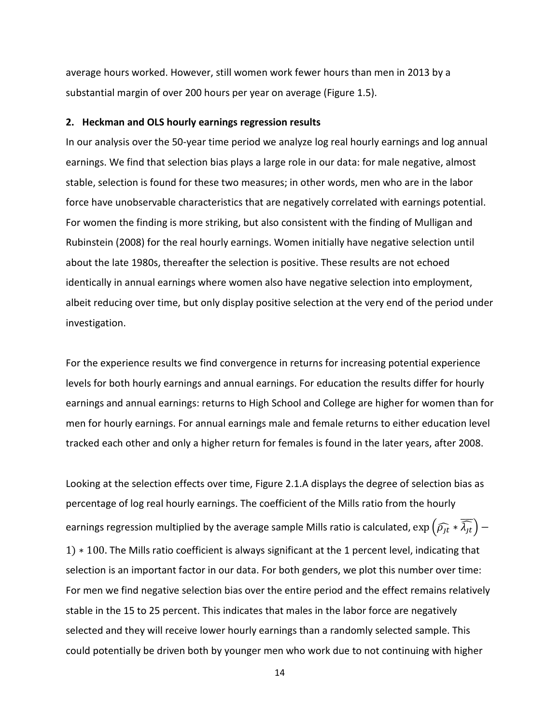average hours worked. However, still women work fewer hours than men in 2013 by a substantial margin of over 200 hours per year on average (Figure 1.5).

#### **2. Heckman and OLS hourly earnings regression results**

In our analysis over the 50-year time period we analyze log real hourly earnings and log annual earnings. We find that selection bias plays a large role in our data: for male negative, almost stable, selection is found for these two measures; in other words, men who are in the labor force have unobservable characteristics that are negatively correlated with earnings potential. For women the finding is more striking, but also consistent with the finding of Mulligan and Rubinstein (2008) for the real hourly earnings. Women initially have negative selection until about the late 1980s, thereafter the selection is positive. These results are not echoed identically in annual earnings where women also have negative selection into employment, albeit reducing over time, but only display positive selection at the very end of the period under investigation.

For the experience results we find convergence in returns for increasing potential experience levels for both hourly earnings and annual earnings. For education the results differ for hourly earnings and annual earnings: returns to High School and College are higher for women than for men for hourly earnings. For annual earnings male and female returns to either education level tracked each other and only a higher return for females is found in the later years, after 2008.

Looking at the selection effects over time, Figure 2.1.A displays the degree of selection bias as percentage of log real hourly earnings. The coefficient of the Mills ratio from the hourly earnings regression multiplied by the average sample Mills ratio is calculated,  $\exp\left(\widehat{\rho_{jt}}*\widehat{\lambda_{jt}}\right)-$ 1) ∗ 100. The Mills ratio coefficient is always significant at the 1 percent level, indicating that selection is an important factor in our data. For both genders, we plot this number over time: For men we find negative selection bias over the entire period and the effect remains relatively stable in the 15 to 25 percent. This indicates that males in the labor force are negatively selected and they will receive lower hourly earnings than a randomly selected sample. This could potentially be driven both by younger men who work due to not continuing with higher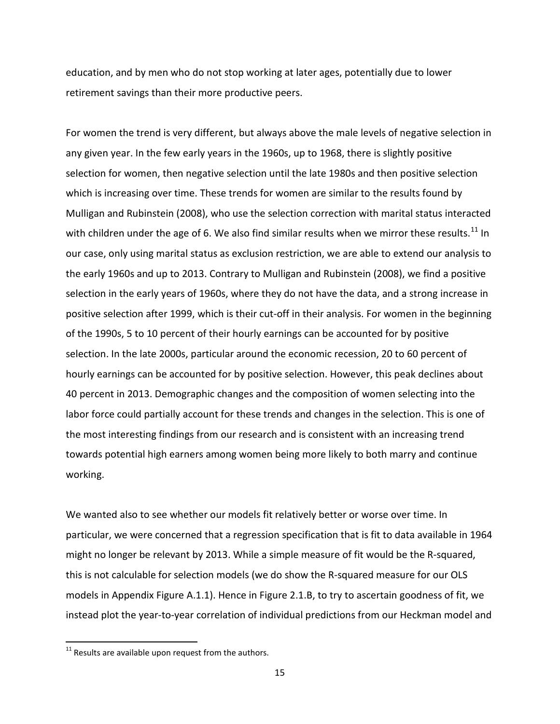education, and by men who do not stop working at later ages, potentially due to lower retirement savings than their more productive peers.

For women the trend is very different, but always above the male levels of negative selection in any given year. In the few early years in the 1960s, up to 1968, there is slightly positive selection for women, then negative selection until the late 1980s and then positive selection which is increasing over time. These trends for women are similar to the results found by Mulligan and Rubinstein (2008), who use the selection correction with marital status interacted with children under the age of 6. We also find similar results when we mirror these results.<sup>[11](#page-16-0)</sup> In our case, only using marital status as exclusion restriction, we are able to extend our analysis to the early 1960s and up to 2013. Contrary to Mulligan and Rubinstein (2008), we find a positive selection in the early years of 1960s, where they do not have the data, and a strong increase in positive selection after 1999, which is their cut-off in their analysis. For women in the beginning of the 1990s, 5 to 10 percent of their hourly earnings can be accounted for by positive selection. In the late 2000s, particular around the economic recession, 20 to 60 percent of hourly earnings can be accounted for by positive selection. However, this peak declines about 40 percent in 2013. Demographic changes and the composition of women selecting into the labor force could partially account for these trends and changes in the selection. This is one of the most interesting findings from our research and is consistent with an increasing trend towards potential high earners among women being more likely to both marry and continue working.

We wanted also to see whether our models fit relatively better or worse over time. In particular, we were concerned that a regression specification that is fit to data available in 1964 might no longer be relevant by 2013. While a simple measure of fit would be the R-squared, this is not calculable for selection models (we do show the R-squared measure for our OLS models in Appendix Figure A.1.1). Hence in Figure 2.1.B, to try to ascertain goodness of fit, we instead plot the year-to-year correlation of individual predictions from our Heckman model and

l

<span id="page-16-0"></span> $11$  Results are available upon request from the authors.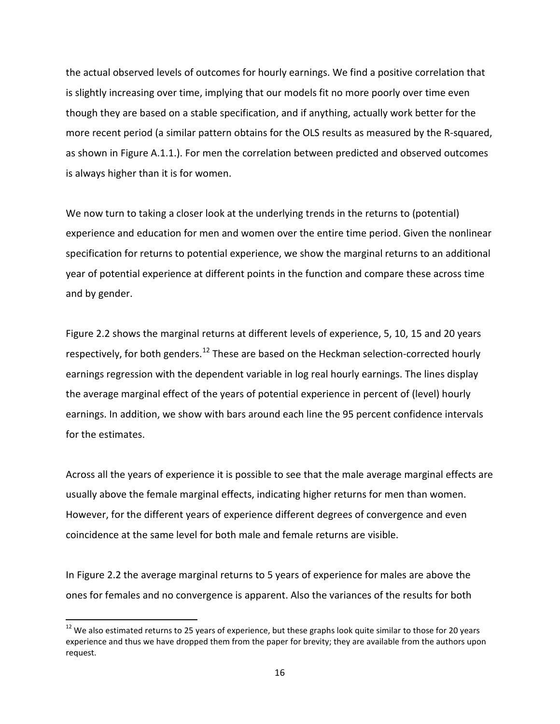the actual observed levels of outcomes for hourly earnings. We find a positive correlation that is slightly increasing over time, implying that our models fit no more poorly over time even though they are based on a stable specification, and if anything, actually work better for the more recent period (a similar pattern obtains for the OLS results as measured by the R-squared, as shown in Figure A.1.1.). For men the correlation between predicted and observed outcomes is always higher than it is for women.

We now turn to taking a closer look at the underlying trends in the returns to (potential) experience and education for men and women over the entire time period. Given the nonlinear specification for returns to potential experience, we show the marginal returns to an additional year of potential experience at different points in the function and compare these across time and by gender.

Figure 2.2 shows the marginal returns at different levels of experience, 5, 10, 15 and 20 years respectively, for both genders.<sup>[12](#page-17-0)</sup> These are based on the Heckman selection-corrected hourly earnings regression with the dependent variable in log real hourly earnings. The lines display the average marginal effect of the years of potential experience in percent of (level) hourly earnings. In addition, we show with bars around each line the 95 percent confidence intervals for the estimates.

Across all the years of experience it is possible to see that the male average marginal effects are usually above the female marginal effects, indicating higher returns for men than women. However, for the different years of experience different degrees of convergence and even coincidence at the same level for both male and female returns are visible.

In Figure 2.2 the average marginal returns to 5 years of experience for males are above the ones for females and no convergence is apparent. Also the variances of the results for both

l

<span id="page-17-0"></span> $12$  We also estimated returns to 25 years of experience, but these graphs look quite similar to those for 20 years experience and thus we have dropped them from the paper for brevity; they are available from the authors upon request.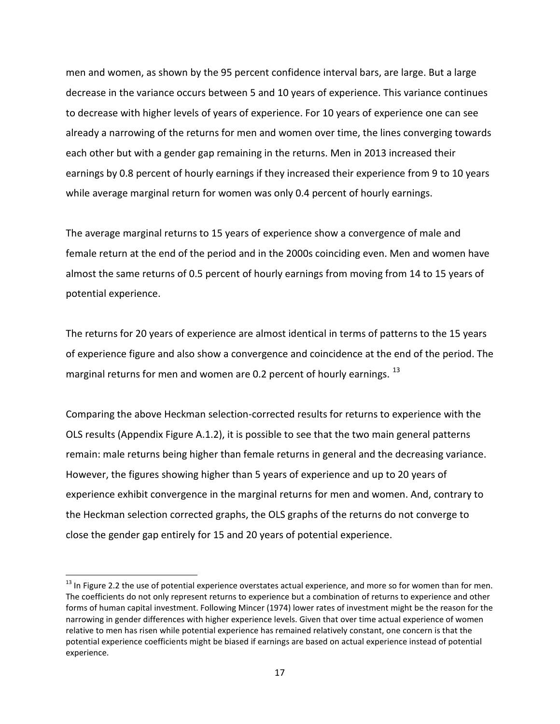men and women, as shown by the 95 percent confidence interval bars, are large. But a large decrease in the variance occurs between 5 and 10 years of experience. This variance continues to decrease with higher levels of years of experience. For 10 years of experience one can see already a narrowing of the returns for men and women over time, the lines converging towards each other but with a gender gap remaining in the returns. Men in 2013 increased their earnings by 0.8 percent of hourly earnings if they increased their experience from 9 to 10 years while average marginal return for women was only 0.4 percent of hourly earnings.

The average marginal returns to 15 years of experience show a convergence of male and female return at the end of the period and in the 2000s coinciding even. Men and women have almost the same returns of 0.5 percent of hourly earnings from moving from 14 to 15 years of potential experience.

The returns for 20 years of experience are almost identical in terms of patterns to the 15 years of experience figure and also show a convergence and coincidence at the end of the period. The marginal returns for men and women are 0.2 percent of hourly earnings.  $^{13}$  $^{13}$  $^{13}$ 

Comparing the above Heckman selection-corrected results for returns to experience with the OLS results (Appendix Figure A.1.2), it is possible to see that the two main general patterns remain: male returns being higher than female returns in general and the decreasing variance. However, the figures showing higher than 5 years of experience and up to 20 years of experience exhibit convergence in the marginal returns for men and women. And, contrary to the Heckman selection corrected graphs, the OLS graphs of the returns do not converge to close the gender gap entirely for 15 and 20 years of potential experience.

 $\overline{\phantom{a}}$ 

<span id="page-18-0"></span> $^{13}$  In Figure 2.2 the use of potential experience overstates actual experience, and more so for women than for men. The coefficients do not only represent returns to experience but a combination of returns to experience and other forms of human capital investment. Following Mincer (1974) lower rates of investment might be the reason for the narrowing in gender differences with higher experience levels. Given that over time actual experience of women relative to men has risen while potential experience has remained relatively constant, one concern is that the potential experience coefficients might be biased if earnings are based on actual experience instead of potential experience.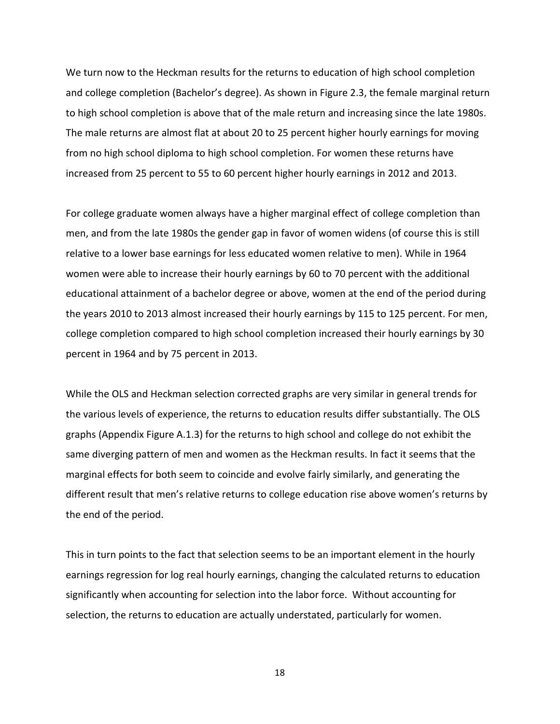We turn now to the Heckman results for the returns to education of high school completion and college completion (Bachelor's degree). As shown in Figure 2.3, the female marginal return to high school completion is above that of the male return and increasing since the late 1980s. The male returns are almost flat at about 20 to 25 percent higher hourly earnings for moving from no high school diploma to high school completion. For women these returns have increased from 25 percent to 55 to 60 percent higher hourly earnings in 2012 and 2013.

For college graduate women always have a higher marginal effect of college completion than men, and from the late 1980s the gender gap in favor of women widens (of course this is still relative to a lower base earnings for less educated women relative to men). While in 1964 women were able to increase their hourly earnings by 60 to 70 percent with the additional educational attainment of a bachelor degree or above, women at the end of the period during the years 2010 to 2013 almost increased their hourly earnings by 115 to 125 percent. For men, college completion compared to high school completion increased their hourly earnings by 30 percent in 1964 and by 75 percent in 2013.

While the OLS and Heckman selection corrected graphs are very similar in general trends for the various levels of experience, the returns to education results differ substantially. The OLS graphs (Appendix Figure A.1.3) for the returns to high school and college do not exhibit the same diverging pattern of men and women as the Heckman results. In fact it seems that the marginal effects for both seem to coincide and evolve fairly similarly, and generating the different result that men's relative returns to college education rise above women's returns by the end of the period.

This in turn points to the fact that selection seems to be an important element in the hourly earnings regression for log real hourly earnings, changing the calculated returns to education significantly when accounting for selection into the labor force. Without accounting for selection, the returns to education are actually understated, particularly for women.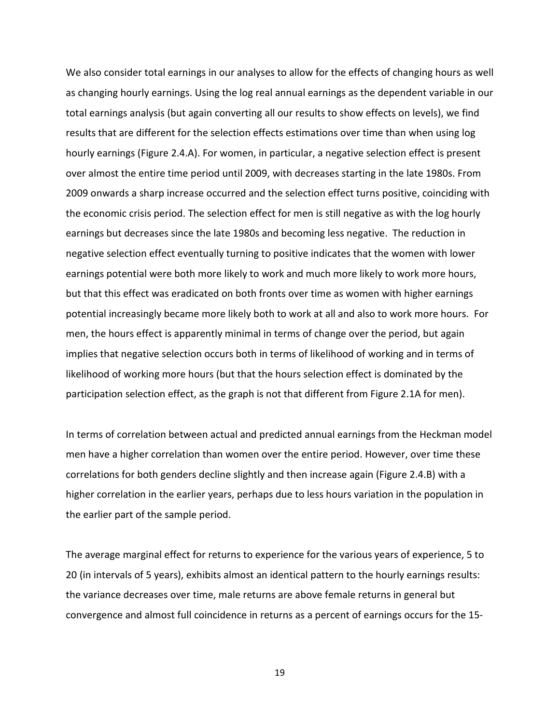We also consider total earnings in our analyses to allow for the effects of changing hours as well as changing hourly earnings. Using the log real annual earnings as the dependent variable in our total earnings analysis (but again converting all our results to show effects on levels), we find results that are different for the selection effects estimations over time than when using log hourly earnings (Figure 2.4.A). For women, in particular, a negative selection effect is present over almost the entire time period until 2009, with decreases starting in the late 1980s. From 2009 onwards a sharp increase occurred and the selection effect turns positive, coinciding with the economic crisis period. The selection effect for men is still negative as with the log hourly earnings but decreases since the late 1980s and becoming less negative. The reduction in negative selection effect eventually turning to positive indicates that the women with lower earnings potential were both more likely to work and much more likely to work more hours, but that this effect was eradicated on both fronts over time as women with higher earnings potential increasingly became more likely both to work at all and also to work more hours. For men, the hours effect is apparently minimal in terms of change over the period, but again implies that negative selection occurs both in terms of likelihood of working and in terms of likelihood of working more hours (but that the hours selection effect is dominated by the participation selection effect, as the graph is not that different from Figure 2.1A for men).

In terms of correlation between actual and predicted annual earnings from the Heckman model men have a higher correlation than women over the entire period. However, over time these correlations for both genders decline slightly and then increase again (Figure 2.4.B) with a higher correlation in the earlier years, perhaps due to less hours variation in the population in the earlier part of the sample period.

The average marginal effect for returns to experience for the various years of experience, 5 to 20 (in intervals of 5 years), exhibits almost an identical pattern to the hourly earnings results: the variance decreases over time, male returns are above female returns in general but convergence and almost full coincidence in returns as a percent of earnings occurs for the 15-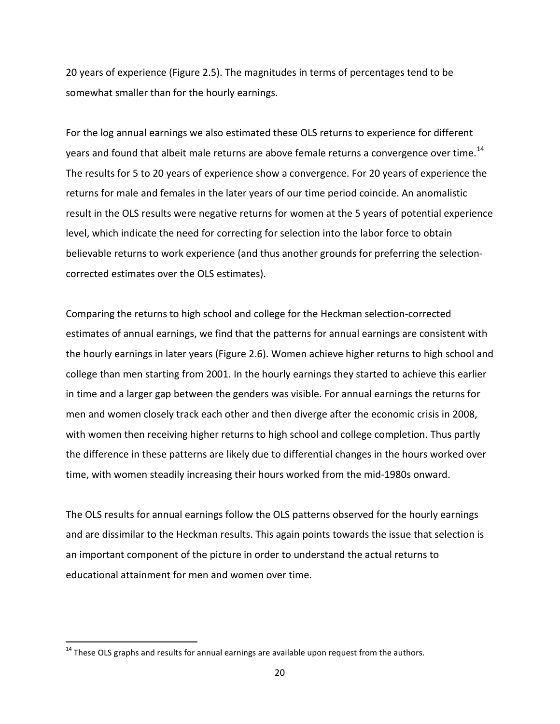20 years of experience (Figure 2.5). The magnitudes in terms of percentages tend to be somewhat smaller than for the hourly earnings.

For the log annual earnings we also estimated these OLS returns to experience for different years and found that albeit male returns are above female returns a convergence over time.<sup>[14](#page-21-0)</sup> The results for 5 to 20 years of experience show a convergence. For 20 years of experience the returns for male and females in the later years of our time period coincide. An anomalistic result in the OLS results were negative returns for women at the 5 years of potential experience level, which indicate the need for correcting for selection into the labor force to obtain believable returns to work experience (and thus another grounds for preferring the selectioncorrected estimates over the OLS estimates).

Comparing the returns to high school and college for the Heckman selection-corrected estimates of annual earnings, we find that the patterns for annual earnings are consistent with the hourly earnings in later years (Figure 2.6). Women achieve higher returns to high school and college than men starting from 2001. In the hourly earnings they started to achieve this earlier in time and a larger gap between the genders was visible. For annual earnings the returns for men and women closely track each other and then diverge after the economic crisis in 2008, with women then receiving higher returns to high school and college completion. Thus partly the difference in these patterns are likely due to differential changes in the hours worked over time, with women steadily increasing their hours worked from the mid-1980s onward.

The OLS results for annual earnings follow the OLS patterns observed for the hourly earnings and are dissimilar to the Heckman results. This again points towards the issue that selection is an important component of the picture in order to understand the actual returns to educational attainment for men and women over time.

l

<span id="page-21-0"></span> $14$  These OLS graphs and results for annual earnings are available upon request from the authors.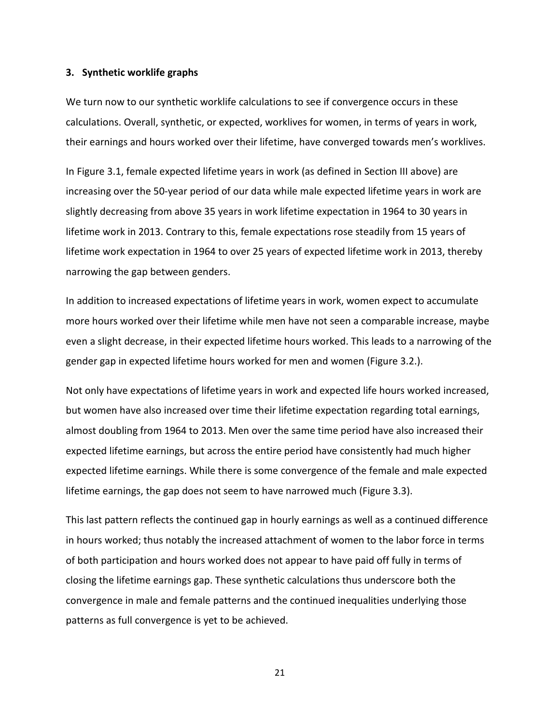#### **3. Synthetic worklife graphs**

We turn now to our synthetic worklife calculations to see if convergence occurs in these calculations. Overall, synthetic, or expected, worklives for women, in terms of years in work, their earnings and hours worked over their lifetime, have converged towards men's worklives.

In Figure 3.1, female expected lifetime years in work (as defined in Section III above) are increasing over the 50-year period of our data while male expected lifetime years in work are slightly decreasing from above 35 years in work lifetime expectation in 1964 to 30 years in lifetime work in 2013. Contrary to this, female expectations rose steadily from 15 years of lifetime work expectation in 1964 to over 25 years of expected lifetime work in 2013, thereby narrowing the gap between genders.

In addition to increased expectations of lifetime years in work, women expect to accumulate more hours worked over their lifetime while men have not seen a comparable increase, maybe even a slight decrease, in their expected lifetime hours worked. This leads to a narrowing of the gender gap in expected lifetime hours worked for men and women (Figure 3.2.).

Not only have expectations of lifetime years in work and expected life hours worked increased, but women have also increased over time their lifetime expectation regarding total earnings, almost doubling from 1964 to 2013. Men over the same time period have also increased their expected lifetime earnings, but across the entire period have consistently had much higher expected lifetime earnings. While there is some convergence of the female and male expected lifetime earnings, the gap does not seem to have narrowed much (Figure 3.3).

This last pattern reflects the continued gap in hourly earnings as well as a continued difference in hours worked; thus notably the increased attachment of women to the labor force in terms of both participation and hours worked does not appear to have paid off fully in terms of closing the lifetime earnings gap. These synthetic calculations thus underscore both the convergence in male and female patterns and the continued inequalities underlying those patterns as full convergence is yet to be achieved.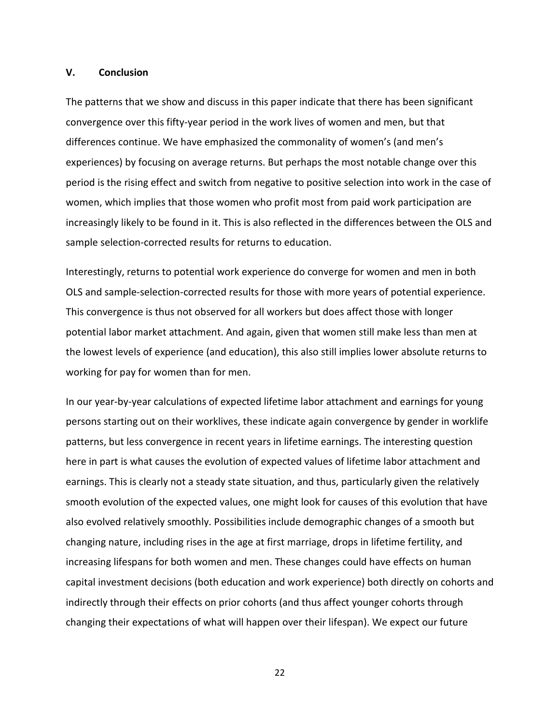#### **V. Conclusion**

The patterns that we show and discuss in this paper indicate that there has been significant convergence over this fifty-year period in the work lives of women and men, but that differences continue. We have emphasized the commonality of women's (and men's experiences) by focusing on average returns. But perhaps the most notable change over this period is the rising effect and switch from negative to positive selection into work in the case of women, which implies that those women who profit most from paid work participation are increasingly likely to be found in it. This is also reflected in the differences between the OLS and sample selection-corrected results for returns to education.

Interestingly, returns to potential work experience do converge for women and men in both OLS and sample-selection-corrected results for those with more years of potential experience. This convergence is thus not observed for all workers but does affect those with longer potential labor market attachment. And again, given that women still make less than men at the lowest levels of experience (and education), this also still implies lower absolute returns to working for pay for women than for men.

In our year-by-year calculations of expected lifetime labor attachment and earnings for young persons starting out on their worklives, these indicate again convergence by gender in worklife patterns, but less convergence in recent years in lifetime earnings. The interesting question here in part is what causes the evolution of expected values of lifetime labor attachment and earnings. This is clearly not a steady state situation, and thus, particularly given the relatively smooth evolution of the expected values, one might look for causes of this evolution that have also evolved relatively smoothly. Possibilities include demographic changes of a smooth but changing nature, including rises in the age at first marriage, drops in lifetime fertility, and increasing lifespans for both women and men. These changes could have effects on human capital investment decisions (both education and work experience) both directly on cohorts and indirectly through their effects on prior cohorts (and thus affect younger cohorts through changing their expectations of what will happen over their lifespan). We expect our future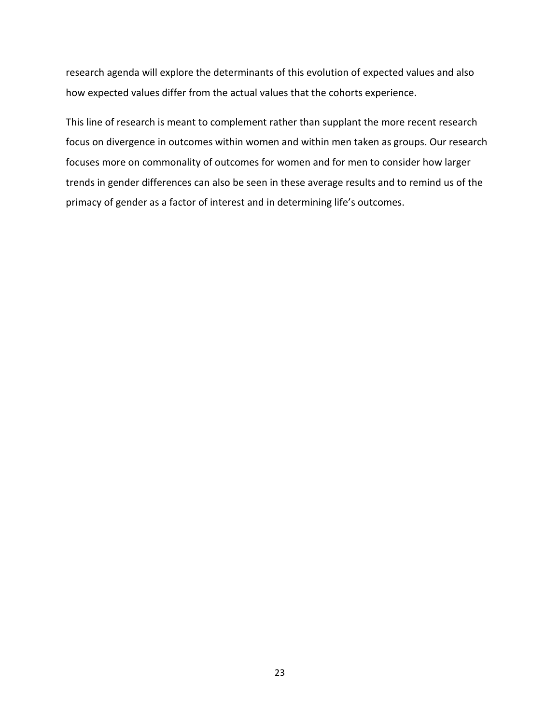research agenda will explore the determinants of this evolution of expected values and also how expected values differ from the actual values that the cohorts experience.

This line of research is meant to complement rather than supplant the more recent research focus on divergence in outcomes within women and within men taken as groups. Our research focuses more on commonality of outcomes for women and for men to consider how larger trends in gender differences can also be seen in these average results and to remind us of the primacy of gender as a factor of interest and in determining life's outcomes.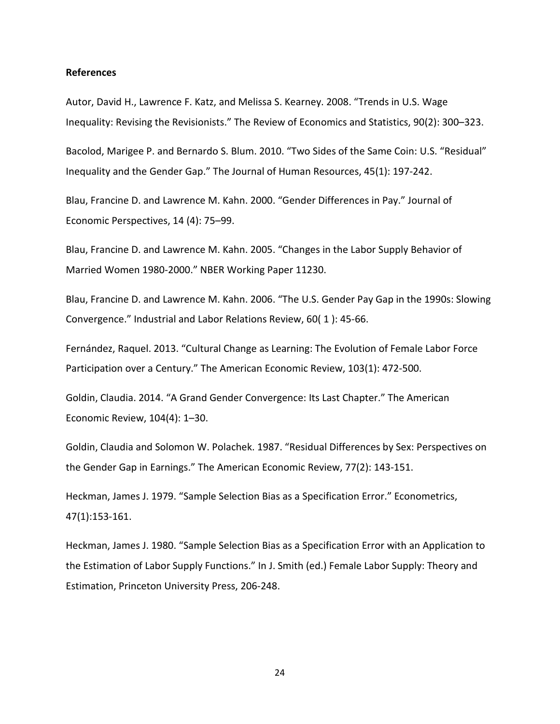#### **References**

Autor, David H., Lawrence F. Katz, and Melissa S. Kearney. 2008. "Trends in U.S. Wage Inequality: Revising the Revisionists." The Review of Economics and Statistics, 90(2): 300–323.

Bacolod, Marigee P. and Bernardo S. Blum. 2010. "Two Sides of the Same Coin: U.S. "Residual" Inequality and the Gender Gap." The Journal of Human Resources, 45(1): 197-242.

Blau, Francine D. and Lawrence M. Kahn. 2000. "Gender Differences in Pay." Journal of Economic Perspectives, 14 (4): 75–99.

Blau, Francine D. and Lawrence M. Kahn. 2005. "Changes in the Labor Supply Behavior of Married Women 1980-2000." NBER Working Paper 11230.

Blau, Francine D. and Lawrence M. Kahn. 2006. "The U.S. Gender Pay Gap in the 1990s: Slowing Convergence." Industrial and Labor Relations Review, 60( 1 ): 45-66.

Fernández, Raquel. 2013. "Cultural Change as Learning: The Evolution of Female Labor Force Participation over a Century." The American Economic Review, 103(1): 472-500.

Goldin, Claudia. 2014. "A Grand Gender Convergence: Its Last Chapter." The American Economic Review, 104(4): 1–30.

Goldin, Claudia and Solomon W. Polachek. 1987. "Residual Differences by Sex: Perspectives on the Gender Gap in Earnings." The American Economic Review, 77(2): 143-151.

Heckman, James J. 1979. "Sample Selection Bias as a Specification Error." Econometrics, 47(1):153-161.

Heckman, James J. 1980. "Sample Selection Bias as a Specification Error with an Application to the Estimation of Labor Supply Functions." In J. Smith (ed.) Female Labor Supply: Theory and Estimation, Princeton University Press, 206-248.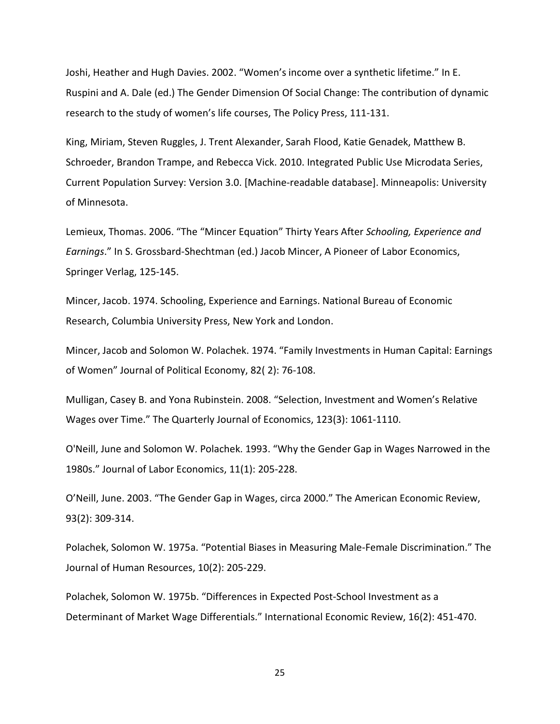Joshi, Heather and Hugh Davies. 2002. "Women's income over a synthetic lifetime." In E. Ruspini and A. Dale (ed.) The Gender Dimension Of Social Change: The contribution of dynamic research to the study of women's life courses, The Policy Press, 111-131.

King, Miriam, Steven Ruggles, J. Trent Alexander, Sarah Flood, Katie Genadek, Matthew B. Schroeder, Brandon Trampe, and Rebecca Vick. 2010. Integrated Public Use Microdata Series, Current Population Survey: Version 3.0. [Machine-readable database]. Minneapolis: University of Minnesota.

Lemieux, Thomas. 2006. "The "Mincer Equation" Thirty Years After *Schooling, Experience and Earnings*." In S. Grossbard-Shechtman (ed.) Jacob Mincer, A Pioneer of Labor Economics, Springer Verlag, 125-145.

Mincer, Jacob. 1974. Schooling, Experience and Earnings. National Bureau of Economic Research, Columbia University Press, New York and London.

Mincer, Jacob and Solomon W. Polachek. 1974. "Family Investments in Human Capital: Earnings of Women" Journal of Political Economy, 82( 2): 76-108.

Mulligan, Casey B. and Yona Rubinstein. 2008. "Selection, Investment and Women's Relative Wages over Time." The Quarterly Journal of Economics, 123(3): 1061-1110.

O'Neill, June and Solomon W. Polachek. 1993. "Why the Gender Gap in Wages Narrowed in the 1980s." Journal of Labor Economics, 11(1): 205-228.

O'Neill, June. 2003. "The Gender Gap in Wages, circa 2000." The American Economic Review, 93(2): 309-314.

Polachek, Solomon W. 1975a. "Potential Biases in Measuring Male-Female Discrimination." The Journal of Human Resources, 10(2): 205-229.

Polachek, Solomon W. 1975b. "Differences in Expected Post-School Investment as a Determinant of Market Wage Differentials." International Economic Review, 16(2): 451-470.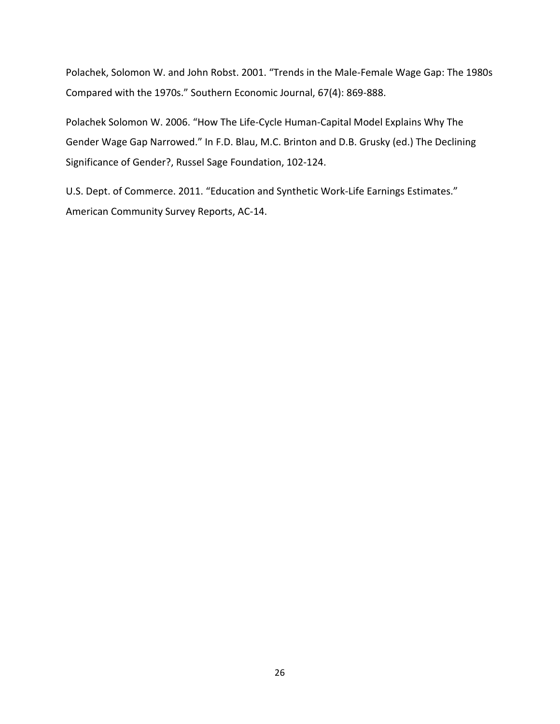Polachek, Solomon W. and John Robst. 2001. "Trends in the Male-Female Wage Gap: The 1980s Compared with the 1970s." Southern Economic Journal, 67(4): 869-888.

Polachek Solomon W. 2006. "How The Life-Cycle Human-Capital Model Explains Why The Gender Wage Gap Narrowed." In F.D. Blau, M.C. Brinton and D.B. Grusky (ed.) The Declining Significance of Gender?, Russel Sage Foundation, 102-124.

U.S. Dept. of Commerce. 2011. "Education and Synthetic Work-Life Earnings Estimates." American Community Survey Reports, AC-14.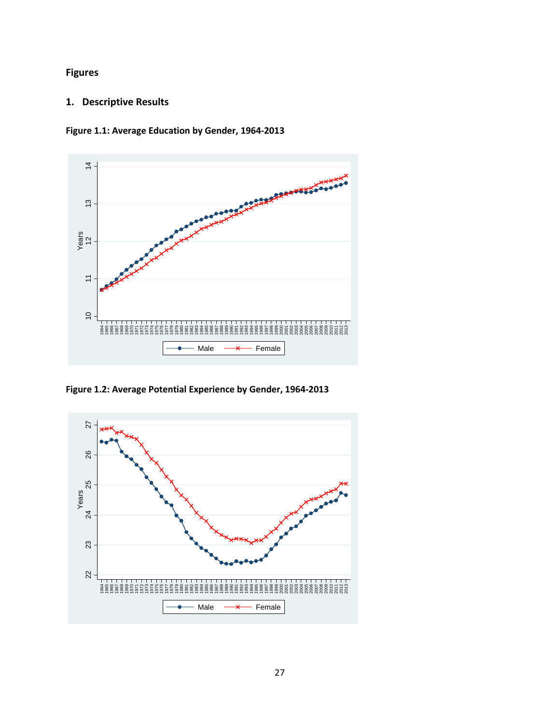**Figures**

### **1. Descriptive Results**

**Figure 1.1: Average Education by Gender, 1964-2013**



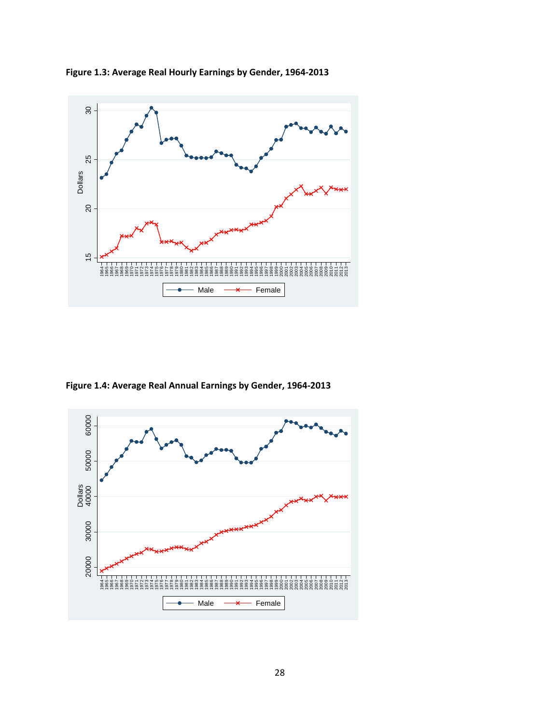

**Figure 1.3: Average Real Hourly Earnings by Gender, 1964-2013**

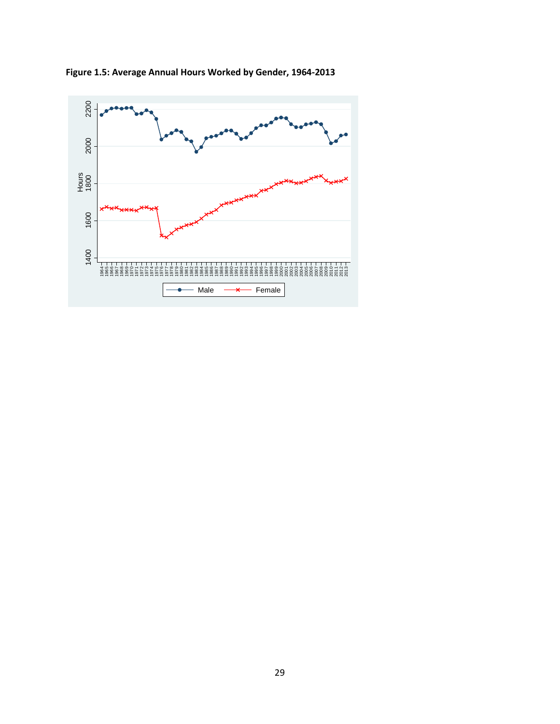

**Figure 1.5: Average Annual Hours Worked by Gender, 1964-2013**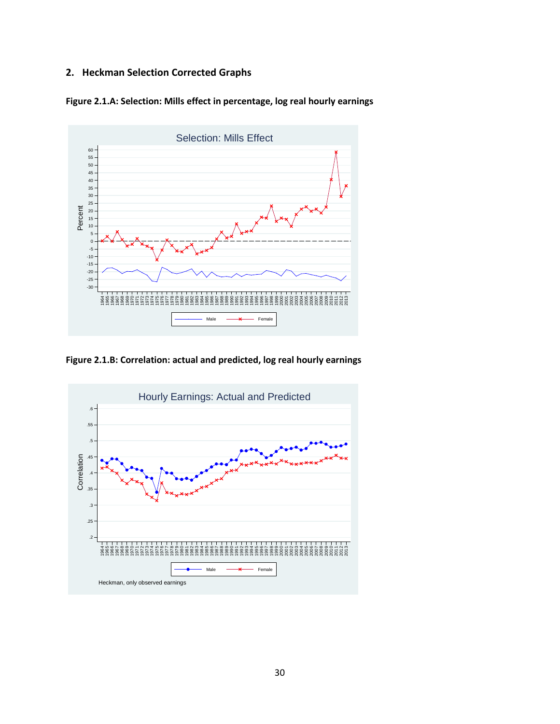### **2. Heckman Selection Corrected Graphs**





**Figure 2.1.B: Correlation: actual and predicted, log real hourly earnings**

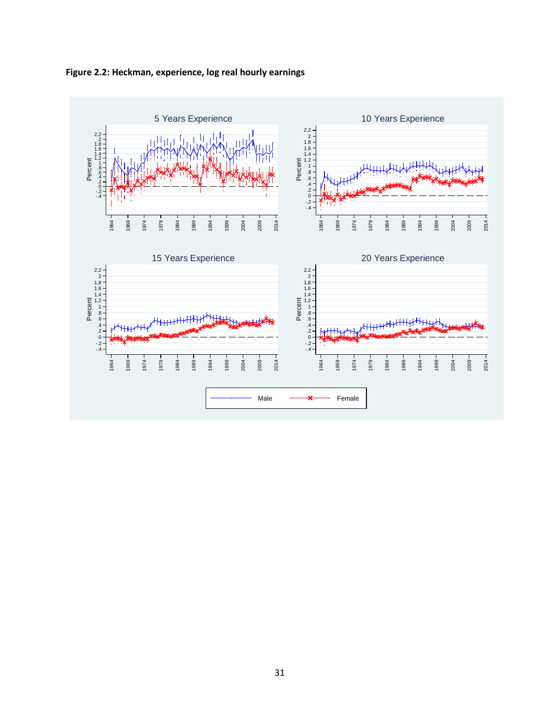

**Figure 2.2: Heckman, experience, log real hourly earnings**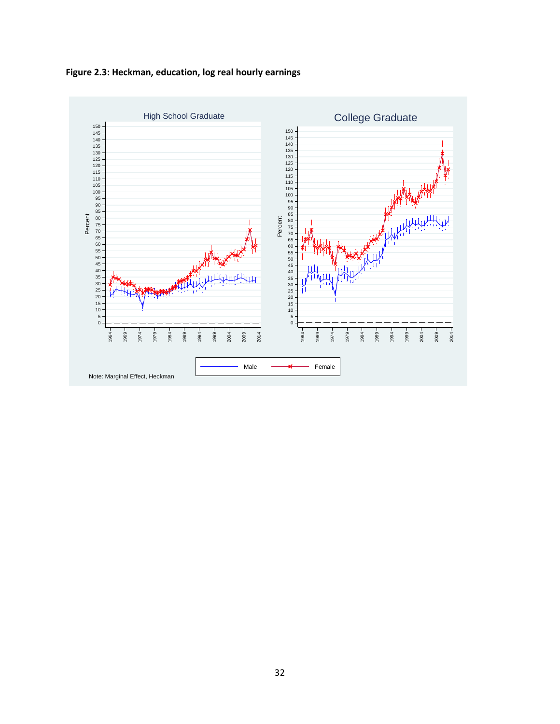**Figure 2.3: Heckman, education, log real hourly earnings**

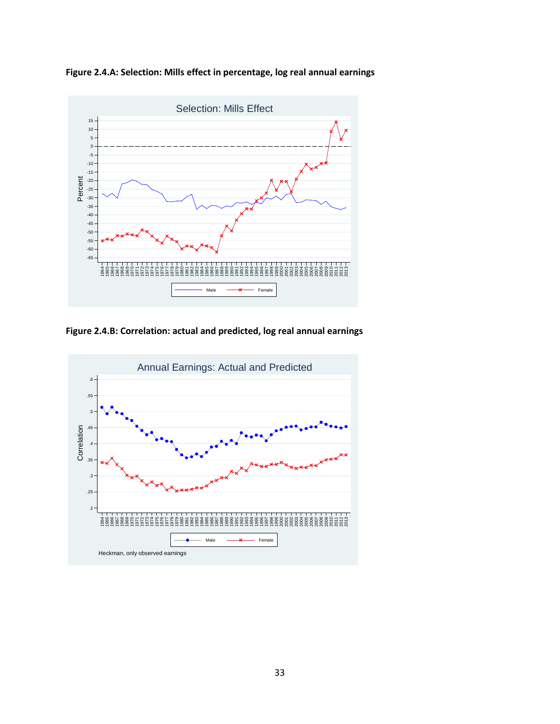**Figure 2.4.A: Selection: Mills effect in percentage, log real annual earnings**



**Figure 2.4.B: Correlation: actual and predicted, log real annual earnings**

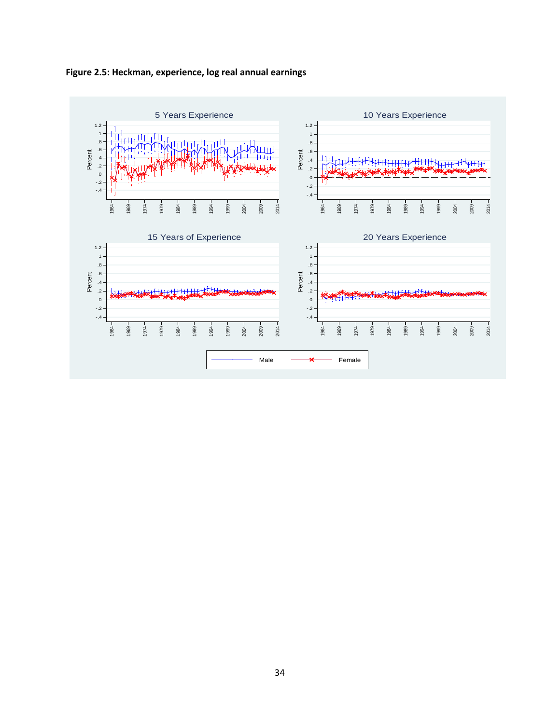

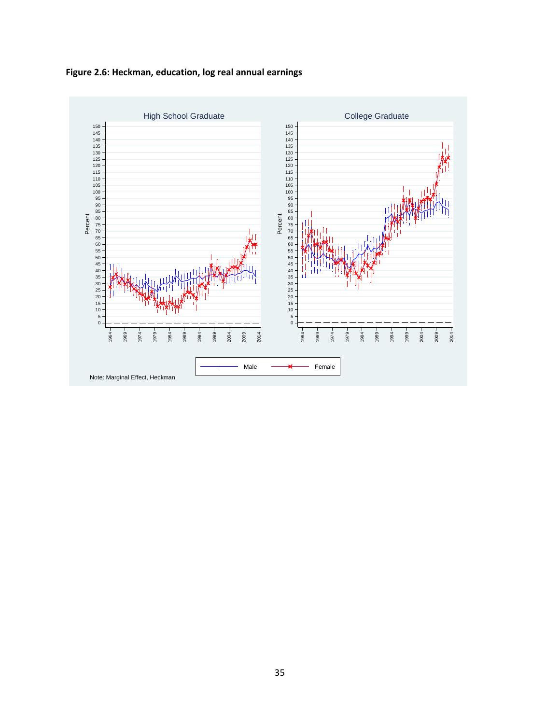**Figure 2.6: Heckman, education, log real annual earnings**

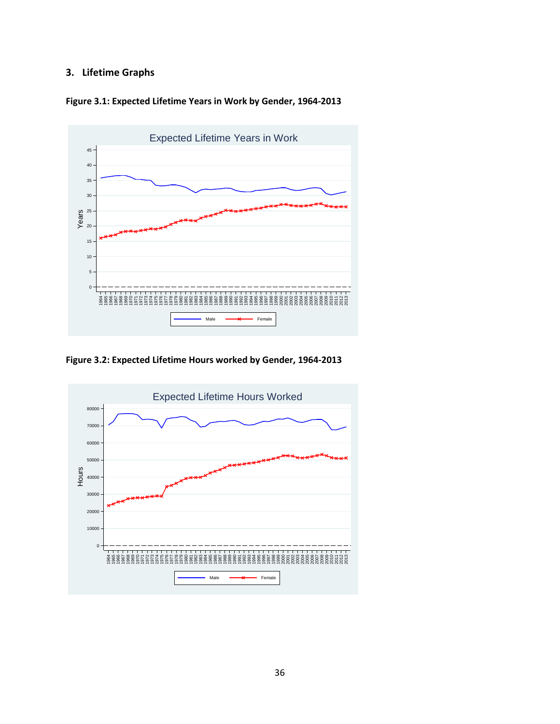### **3. Lifetime Graphs**





**Figure 3.2: Expected Lifetime Hours worked by Gender, 1964-2013**

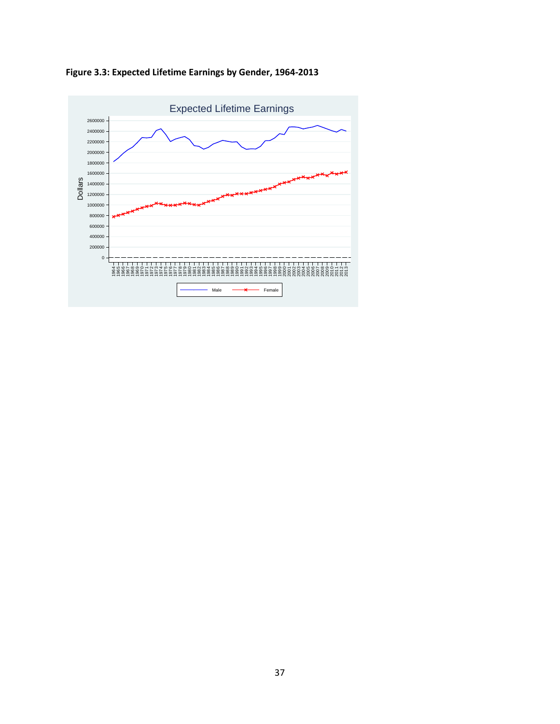**Figure 3.3: Expected Lifetime Earnings by Gender, 1964-2013**

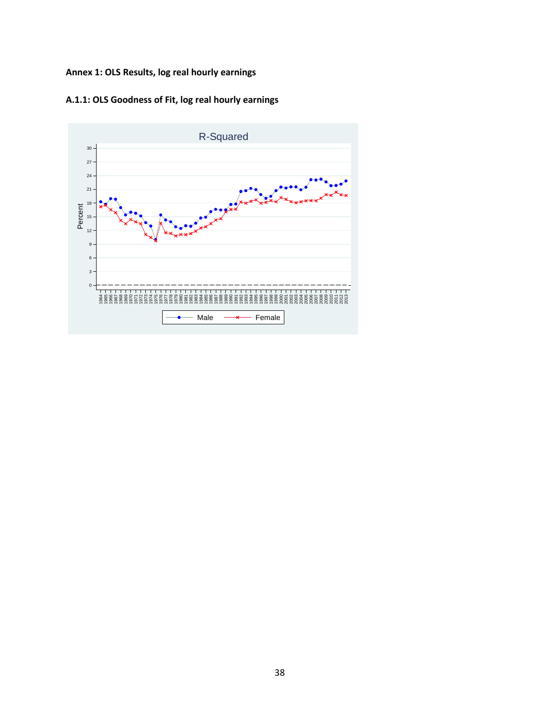## **Annex 1: OLS Results, log real hourly earnings**



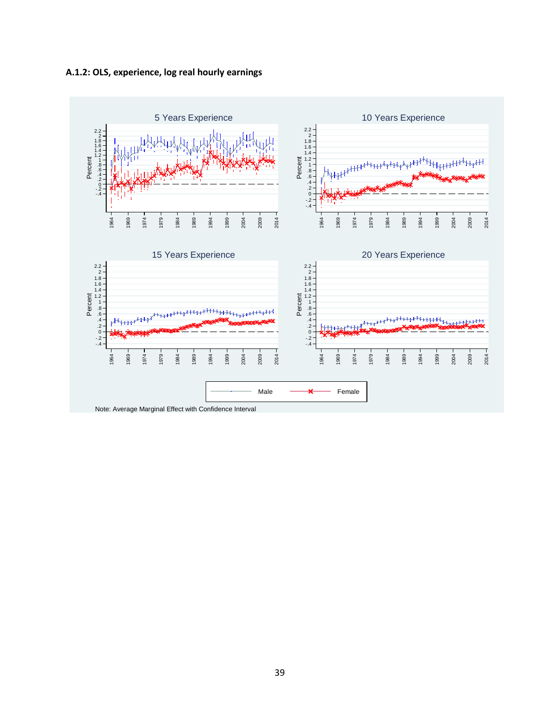



Note: Average Marginal Effect with Confidence Interval